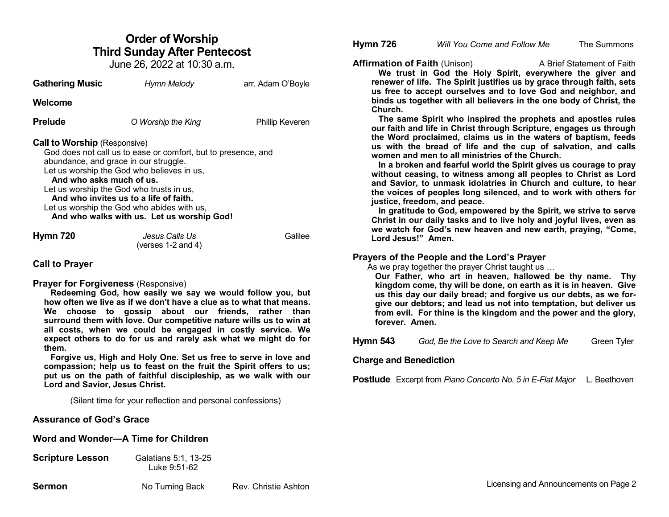# **Order of Worship Third Sunday After Pentecost**

June 26, 2022 at 10:30 a.m.

| <b>Gathering Music</b>                                          | Hymn Melody                                                                                                                                                                                                                                                                                                                            | arr. Adam O'Boyle |
|-----------------------------------------------------------------|----------------------------------------------------------------------------------------------------------------------------------------------------------------------------------------------------------------------------------------------------------------------------------------------------------------------------------------|-------------------|
| Welcome                                                         |                                                                                                                                                                                                                                                                                                                                        |                   |
| Prelude                                                         | O Worship the King                                                                                                                                                                                                                                                                                                                     | Phillip Keveren   |
| <b>Call to Worship</b> (Responsive)<br>And who asks much of us. | God does not call us to ease or comfort, but to presence, and<br>abundance, and grace in our struggle.<br>Let us worship the God who believes in us,<br>Let us worship the God who trusts in us,<br>And who invites us to a life of faith.<br>Let us worship the God who abides with us,<br>And who walks with us. Let us worship God! |                   |
| <b>Hymn 720</b>                                                 | Jesus Calls Us<br>(verses $1-2$ and $4$ )                                                                                                                                                                                                                                                                                              | Galilee           |

## **Call to Prayer**

### **Prayer for Forgiveness** (Responsive)

 **Redeeming God, how easily we say we would follow you, but how often we live as if we don't have a clue as to what that means. We choose to gossip about our friends, rather than surround them with love. Our competitive nature wills us to win at all costs, when we could be engaged in costly service. We expect others to do for us and rarely ask what we might do for them.**

 **Forgive us, High and Holy One. Set us free to serve in love and compassion; help us to feast on the fruit the Spirit offers to us; put us on the path of faithful discipleship, as we walk with our Lord and Savior, Jesus Christ.**

(Silent time for your reflection and personal confessions)

# **Assurance of God's Grace**

## **Word and Wonder—A Time for Children**

| <b>Scripture Lesson</b> | Galatians 5:1, 13-25 |
|-------------------------|----------------------|
|                         | Luke 9:51-62         |

**Hymn 726** *Will You Come and Follow Me* The Summons

**Affirmation of Faith** (Unison) A Brief Statement of Faith

 **We trust in God the Holy Spirit, everywhere the giver and renewer of life. The Spirit justifies us by grace through faith, sets us free to accept ourselves and to love God and neighbor, and binds us together with all believers in the one body of Christ, the Church.** 

 **The same Spirit who inspired the prophets and apostles rules our faith and life in Christ through Scripture, engages us through the Word proclaimed, claims us in the waters of baptism, feeds us with the bread of life and the cup of salvation, and calls women and men to all ministries of the Church.**

 **In a broken and fearful world the Spirit gives us courage to pray without ceasing, to witness among all peoples to Christ as Lord and Savior, to unmask idolatries in Church and culture, to hear the voices of peoples long silenced, and to work with others for justice, freedom, and peace.**

 **In gratitude to God, empowered by the Spirit, we strive to serve Christ in our daily tasks and to live holy and joyful lives, even as we watch for God's new heaven and new earth, praying, "Come, Lord Jesus!" Amen.**

# **Prayers of the People and the Lord's Prayer**

As we pray together the prayer Christ taught us ...

**Our Father, who art in heaven, hallowed be thy name. Thy kingdom come, thy will be done, on earth as it is in heaven. Give us this day our daily bread; and forgive us our debts, as we forgive our debtors; and lead us not into temptation, but deliver us from evil. For thine is the kingdom and the power and the glory, forever. Amen.** 

**Hymn 543** *God, Be the Love to Search and Keep Me* Green Tyler

# **Charge and Benediction**

**Postlude** Excerpt from *Piano Concerto No. 5 in E-Flat Major* L. Beethoven